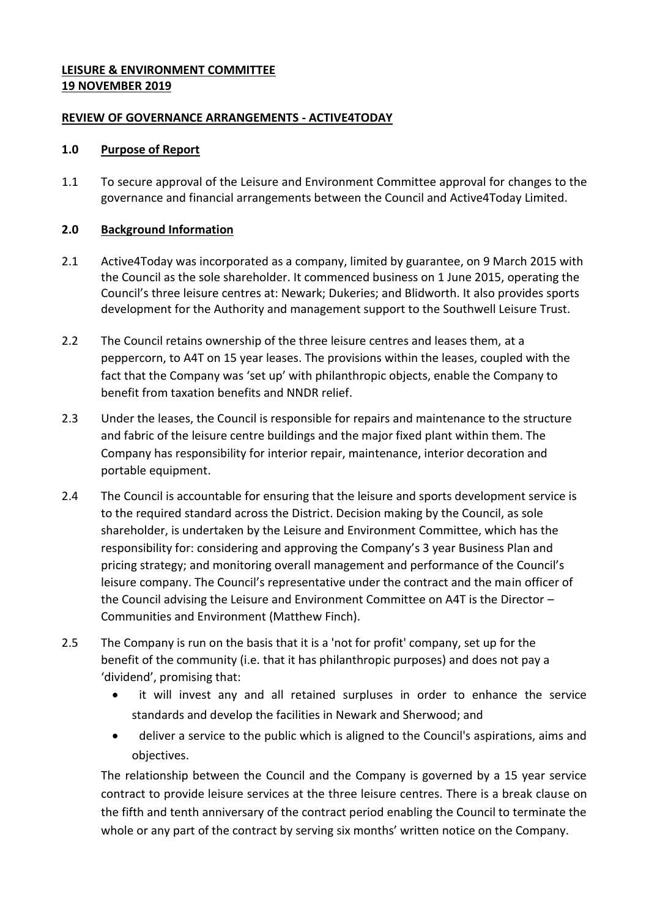## **LEISURE & ENVIRONMENT COMMITTEE 19 NOVEMBER 2019**

## **REVIEW OF GOVERNANCE ARRANGEMENTS - ACTIVE4TODAY**

### **1.0 Purpose of Report**

1.1 To secure approval of the Leisure and Environment Committee approval for changes to the governance and financial arrangements between the Council and Active4Today Limited.

## **2.0 Background Information**

- 2.1 Active4Today was incorporated as a company, limited by guarantee, on 9 March 2015 with the Council as the sole shareholder. It commenced business on 1 June 2015, operating the Council's three leisure centres at: Newark; Dukeries; and Blidworth. It also provides sports development for the Authority and management support to the Southwell Leisure Trust.
- 2.2 The Council retains ownership of the three leisure centres and leases them, at a peppercorn, to A4T on 15 year leases. The provisions within the leases, coupled with the fact that the Company was 'set up' with philanthropic objects, enable the Company to benefit from taxation benefits and NNDR relief.
- 2.3 Under the leases, the Council is responsible for repairs and maintenance to the structure and fabric of the leisure centre buildings and the major fixed plant within them. The Company has responsibility for interior repair, maintenance, interior decoration and portable equipment.
- 2.4 The Council is accountable for ensuring that the leisure and sports development service is to the required standard across the District. Decision making by the Council, as sole shareholder, is undertaken by the Leisure and Environment Committee, which has the responsibility for: considering and approving the Company's 3 year Business Plan and pricing strategy; and monitoring overall management and performance of the Council's leisure company. The Council's representative under the contract and the main officer of the Council advising the Leisure and Environment Committee on A4T is the Director – Communities and Environment (Matthew Finch).
- 2.5 The Company is run on the basis that it is a 'not for profit' company, set up for the benefit of the community (i.e. that it has philanthropic purposes) and does not pay a 'dividend', promising that:
	- it will invest any and all retained surpluses in order to enhance the service standards and develop the facilities in Newark and Sherwood; and
	- deliver a service to the public which is aligned to the Council's aspirations, aims and objectives.

The relationship between the Council and the Company is governed by a 15 year service contract to provide leisure services at the three leisure centres. There is a break clause on the fifth and tenth anniversary of the contract period enabling the Council to terminate the whole or any part of the contract by serving six months' written notice on the Company.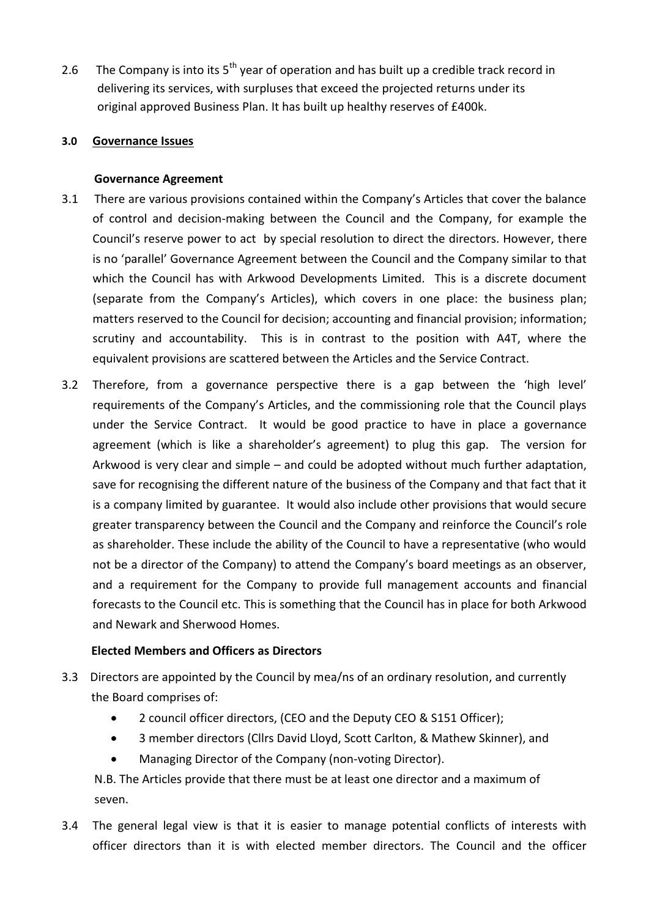2.6 The Company is into its  $5<sup>th</sup>$  year of operation and has built up a credible track record in delivering its services, with surpluses that exceed the projected returns under its original approved Business Plan. It has built up healthy reserves of £400k.

## **3.0 Governance Issues**

### **Governance Agreement**

- 3.1 There are various provisions contained within the Company's Articles that cover the balance of control and decision-making between the Council and the Company, for example the Council's reserve power to act by special resolution to direct the directors. However, there is no 'parallel' Governance Agreement between the Council and the Company similar to that which the Council has with Arkwood Developments Limited. This is a discrete document (separate from the Company's Articles), which covers in one place: the business plan; matters reserved to the Council for decision; accounting and financial provision; information; scrutiny and accountability. This is in contrast to the position with A4T, where the equivalent provisions are scattered between the Articles and the Service Contract.
- 3.2 Therefore, from a governance perspective there is a gap between the 'high level' requirements of the Company's Articles, and the commissioning role that the Council plays under the Service Contract. It would be good practice to have in place a governance agreement (which is like a shareholder's agreement) to plug this gap. The version for Arkwood is very clear and simple – and could be adopted without much further adaptation, save for recognising the different nature of the business of the Company and that fact that it is a company limited by guarantee. It would also include other provisions that would secure greater transparency between the Council and the Company and reinforce the Council's role as shareholder. These include the ability of the Council to have a representative (who would not be a director of the Company) to attend the Company's board meetings as an observer, and a requirement for the Company to provide full management accounts and financial forecasts to the Council etc. This is something that the Council has in place for both Arkwood and Newark and Sherwood Homes.

## **Elected Members and Officers as Directors**

- 3.3 Directors are appointed by the Council by mea/ns of an ordinary resolution, and currently the Board comprises of:
	- 2 council officer directors, (CEO and the Deputy CEO & S151 Officer);
	- 3 member directors (Cllrs David Lloyd, Scott Carlton, & Mathew Skinner), and
	- Managing Director of the Company (non-voting Director).

 N.B. The Articles provide that there must be at least one director and a maximum of seven.

3.4 The general legal view is that it is easier to manage potential conflicts of interests with officer directors than it is with elected member directors. The Council and the officer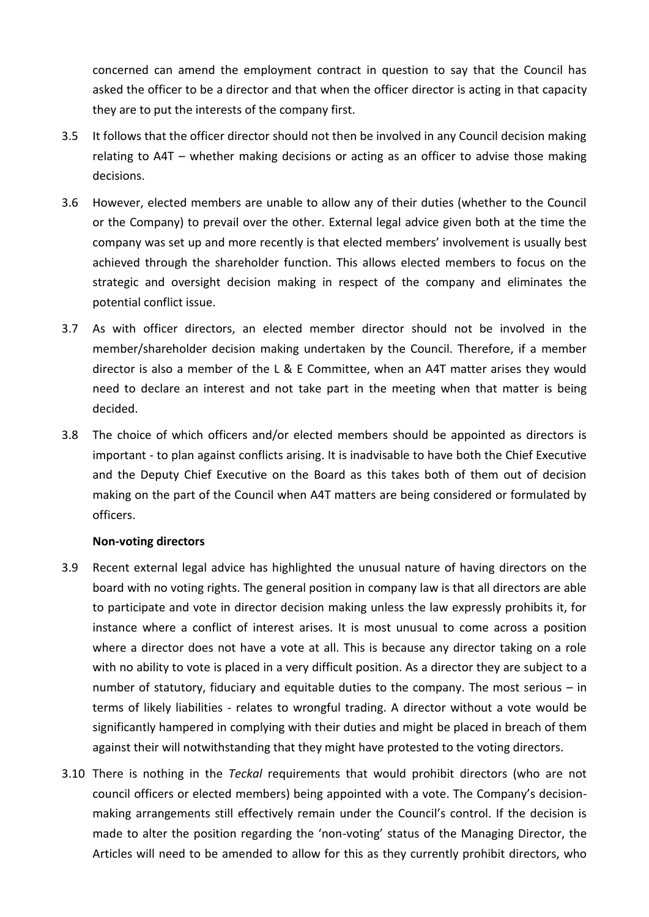concerned can amend the employment contract in question to say that the Council has asked the officer to be a director and that when the officer director is acting in that capacity they are to put the interests of the company first.

- 3.5 It follows that the officer director should not then be involved in any Council decision making relating to A4T – whether making decisions or acting as an officer to advise those making decisions.
- 3.6 However, elected members are unable to allow any of their duties (whether to the Council or the Company) to prevail over the other. External legal advice given both at the time the company was set up and more recently is that elected members' involvement is usually best achieved through the shareholder function. This allows elected members to focus on the strategic and oversight decision making in respect of the company and eliminates the potential conflict issue.
- 3.7 As with officer directors, an elected member director should not be involved in the member/shareholder decision making undertaken by the Council. Therefore, if a member director is also a member of the L & E Committee, when an A4T matter arises they would need to declare an interest and not take part in the meeting when that matter is being decided.
- 3.8 The choice of which officers and/or elected members should be appointed as directors is important - to plan against conflicts arising. It is inadvisable to have both the Chief Executive and the Deputy Chief Executive on the Board as this takes both of them out of decision making on the part of the Council when A4T matters are being considered or formulated by officers.

#### **Non-voting directors**

- 3.9 Recent external legal advice has highlighted the unusual nature of having directors on the board with no voting rights. The general position in company law is that all directors are able to participate and vote in director decision making unless the law expressly prohibits it, for instance where a conflict of interest arises. It is most unusual to come across a position where a director does not have a vote at all. This is because any director taking on a role with no ability to vote is placed in a very difficult position. As a director they are subject to a number of statutory, fiduciary and equitable duties to the company. The most serious – in terms of likely liabilities - relates to wrongful trading. A director without a vote would be significantly hampered in complying with their duties and might be placed in breach of them against their will notwithstanding that they might have protested to the voting directors.
- 3.10 There is nothing in the *Teckal* requirements that would prohibit directors (who are not council officers or elected members) being appointed with a vote. The Company's decisionmaking arrangements still effectively remain under the Council's control. If the decision is made to alter the position regarding the 'non-voting' status of the Managing Director, the Articles will need to be amended to allow for this as they currently prohibit directors, who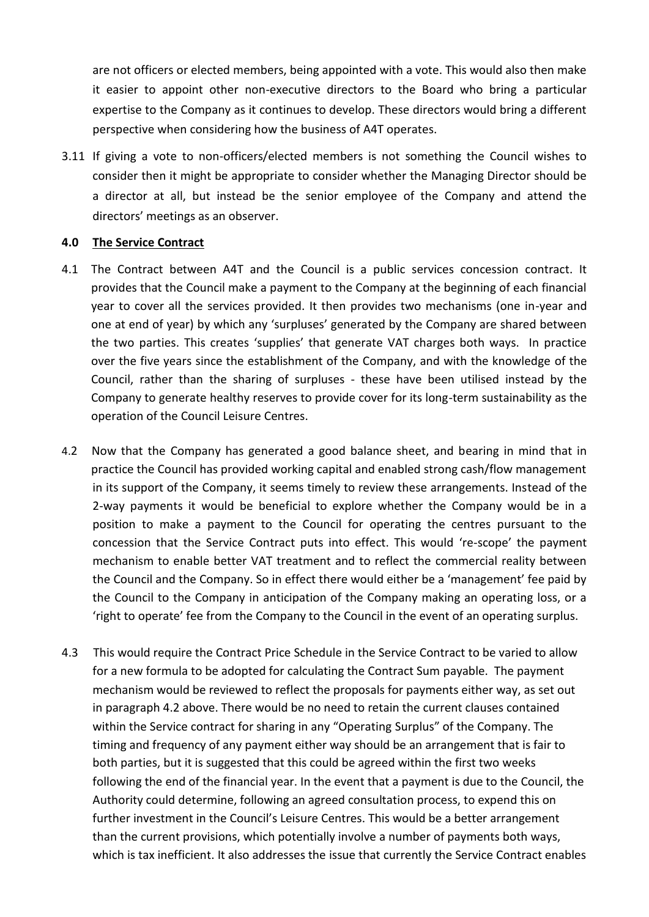are not officers or elected members, being appointed with a vote. This would also then make it easier to appoint other non-executive directors to the Board who bring a particular expertise to the Company as it continues to develop. These directors would bring a different perspective when considering how the business of A4T operates.

3.11 If giving a vote to non-officers/elected members is not something the Council wishes to consider then it might be appropriate to consider whether the Managing Director should be a director at all, but instead be the senior employee of the Company and attend the directors' meetings as an observer.

#### **4.0 The Service Contract**

- 4.1 The Contract between A4T and the Council is a public services concession contract. It provides that the Council make a payment to the Company at the beginning of each financial year to cover all the services provided. It then provides two mechanisms (one in-year and one at end of year) by which any 'surpluses' generated by the Company are shared between the two parties. This creates 'supplies' that generate VAT charges both ways. In practice over the five years since the establishment of the Company, and with the knowledge of the Council, rather than the sharing of surpluses - these have been utilised instead by the Company to generate healthy reserves to provide cover for its long-term sustainability as the operation of the Council Leisure Centres.
- 4.2 Now that the Company has generated a good balance sheet, and bearing in mind that in practice the Council has provided working capital and enabled strong cash/flow management in its support of the Company, it seems timely to review these arrangements. Instead of the 2-way payments it would be beneficial to explore whether the Company would be in a position to make a payment to the Council for operating the centres pursuant to the concession that the Service Contract puts into effect. This would 're-scope' the payment mechanism to enable better VAT treatment and to reflect the commercial reality between the Council and the Company. So in effect there would either be a 'management' fee paid by the Council to the Company in anticipation of the Company making an operating loss, or a 'right to operate' fee from the Company to the Council in the event of an operating surplus.
- 4.3 This would require the Contract Price Schedule in the Service Contract to be varied to allow for a new formula to be adopted for calculating the Contract Sum payable. The payment mechanism would be reviewed to reflect the proposals for payments either way, as set out in paragraph 4.2 above. There would be no need to retain the current clauses contained within the Service contract for sharing in any "Operating Surplus" of the Company. The timing and frequency of any payment either way should be an arrangement that is fair to both parties, but it is suggested that this could be agreed within the first two weeks following the end of the financial year. In the event that a payment is due to the Council, the Authority could determine, following an agreed consultation process, to expend this on further investment in the Council's Leisure Centres. This would be a better arrangement than the current provisions, which potentially involve a number of payments both ways, which is tax inefficient. It also addresses the issue that currently the Service Contract enables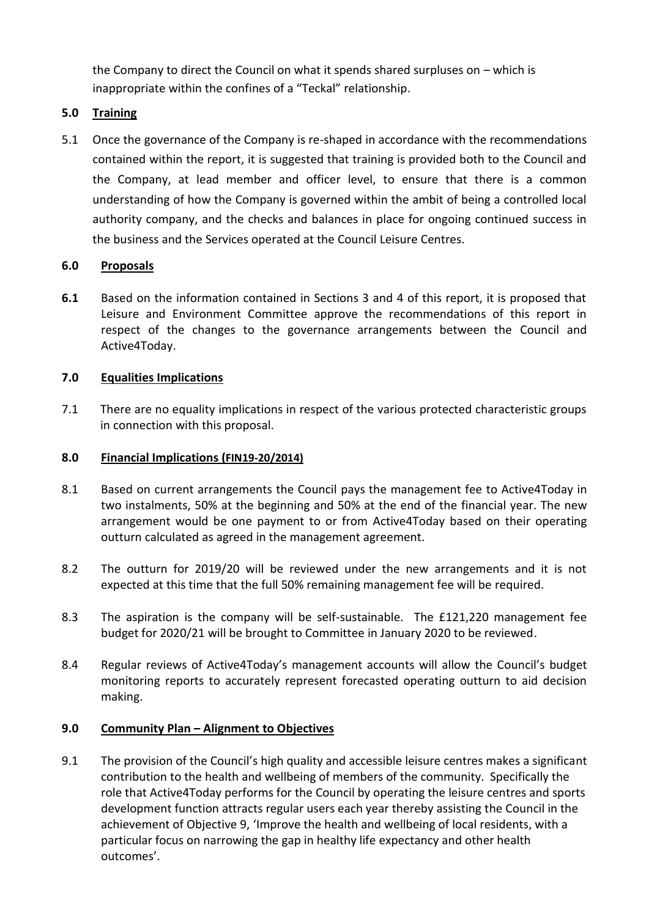the Company to direct the Council on what it spends shared surpluses on – which is inappropriate within the confines of a "Teckal" relationship.

# **5.0 Training**

5.1 Once the governance of the Company is re-shaped in accordance with the recommendations contained within the report, it is suggested that training is provided both to the Council and the Company, at lead member and officer level, to ensure that there is a common understanding of how the Company is governed within the ambit of being a controlled local authority company, and the checks and balances in place for ongoing continued success in the business and the Services operated at the Council Leisure Centres.

# **6.0 Proposals**

**6.1** Based on the information contained in Sections 3 and 4 of this report, it is proposed that Leisure and Environment Committee approve the recommendations of this report in respect of the changes to the governance arrangements between the Council and Active4Today.

# **7.0 Equalities Implications**

7.1 There are no equality implications in respect of the various protected characteristic groups in connection with this proposal.

# **8.0 Financial Implications (FIN19-20/2014)**

- 8.1 Based on current arrangements the Council pays the management fee to Active4Today in two instalments, 50% at the beginning and 50% at the end of the financial year. The new arrangement would be one payment to or from Active4Today based on their operating outturn calculated as agreed in the management agreement.
- 8.2 The outturn for 2019/20 will be reviewed under the new arrangements and it is not expected at this time that the full 50% remaining management fee will be required.
- 8.3 The aspiration is the company will be self-sustainable. The £121,220 management fee budget for 2020/21 will be brought to Committee in January 2020 to be reviewed.
- 8.4 Regular reviews of Active4Today's management accounts will allow the Council's budget monitoring reports to accurately represent forecasted operating outturn to aid decision making.

## **9.0 Community Plan – Alignment to Objectives**

9.1 The provision of the Council's high quality and accessible leisure centres makes a significant contribution to the health and wellbeing of members of the community. Specifically the role that Active4Today performs for the Council by operating the leisure centres and sports development function attracts regular users each year thereby assisting the Council in the achievement of Objective 9, 'Improve the health and wellbeing of local residents, with a particular focus on narrowing the gap in healthy life expectancy and other health outcomes'.